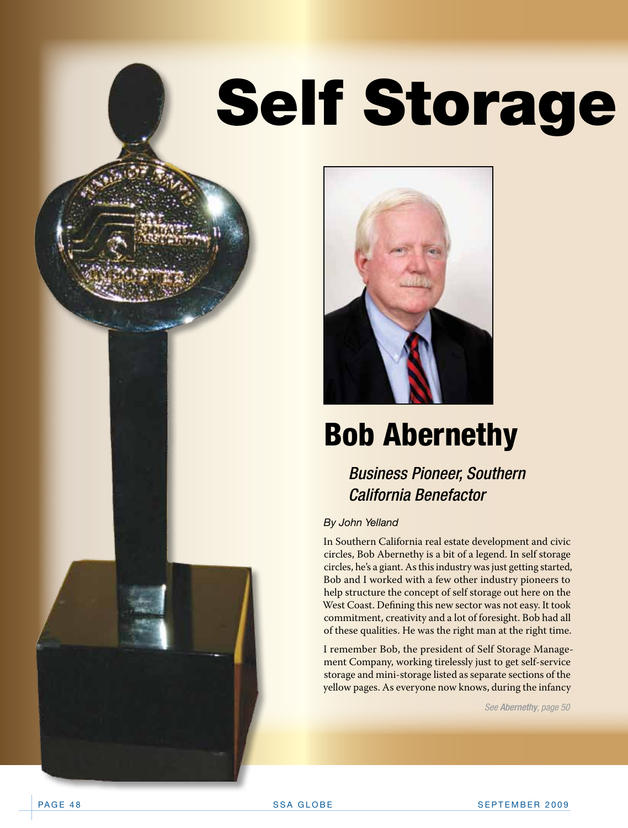# **Self Storage**



### Bob Abernethy

### *Business Pioneer, Southern California Benefactor*

### *By John Yelland*

In Southern California real estate development and civic circles, Bob Abernethy is a bit of a legend. In self storage circles, he's a giant. As this industry was just getting started, Bob and I worked with a few other industry pioneers to help structure the concept of self storage out here on the West Coast. Defining this new sector was not easy. It took commitment, creativity and a lot of foresight. Bob had all of these qualities. He was the right man at the right time.

I remember Bob, the president of Self Storage Management Company, working tirelessly just to get self-service storage and mini-storage listed as separate sections of the yellow pages. As everyone now knows, during the infancy

*See Abern*e*thy, page 50*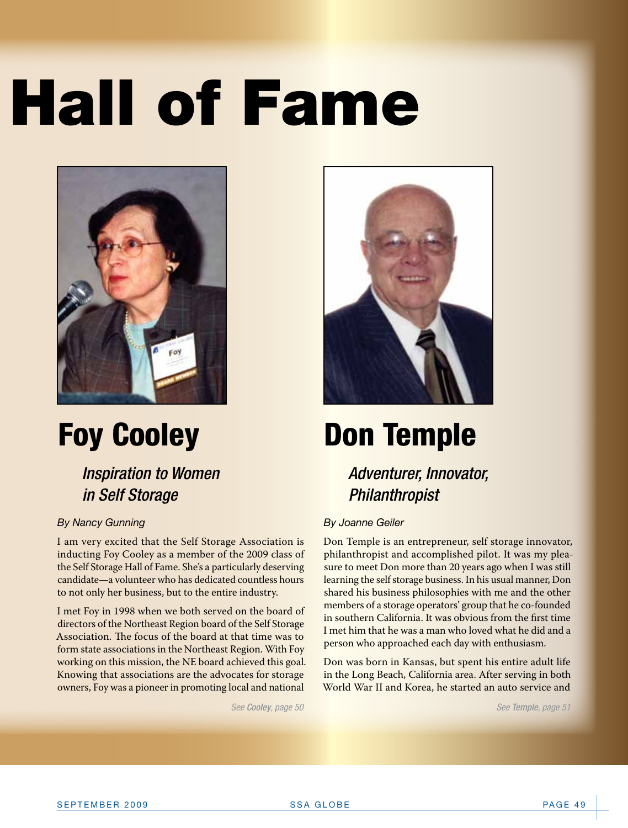# **Hall of Fame**



## Foy Cooley

*Inspiration to Women in Self Storage*

### *By Nancy Gunning*

I am very excited that the Self Storage Association is inducting Foy Cooley as a member of the 2009 class of the Self Storage Hall of Fame. She's a particularly deserving candidate—a volunteer who has dedicated countless hours to not only her business, but to the entire industry.

I met Foy in 1998 when we both served on the board of directors of the Northeast Region board of the Self Storage Association. The focus of the board at that time was to form state associations in the Northeast Region. With Foy working on this mission, the NE board achieved this goal. Knowing that associations are the advocates for storage owners, Foy was a pioneer in promoting local and national



## Don Temple

### *Adventurer, Innovator, Philanthropist*

### *By Joanne Geiler*

Don Temple is an entrepreneur, self storage innovator, philanthropist and accomplished pilot. It was my pleasure to meet Don more than 20 years ago when I was still learning the self storage business. In his usual manner, Don shared his business philosophies with me and the other members of a storage operators' group that he co-founded in southern California. It was obvious from the first time I met him that he was a man who loved what he did and a person who approached each day with enthusiasm.

Don was born in Kansas, but spent his entire adult life in the Long Beach, California area. After serving in both World War II and Korea, he started an auto service and

*See Cooley, page 50 See Temple, page 51*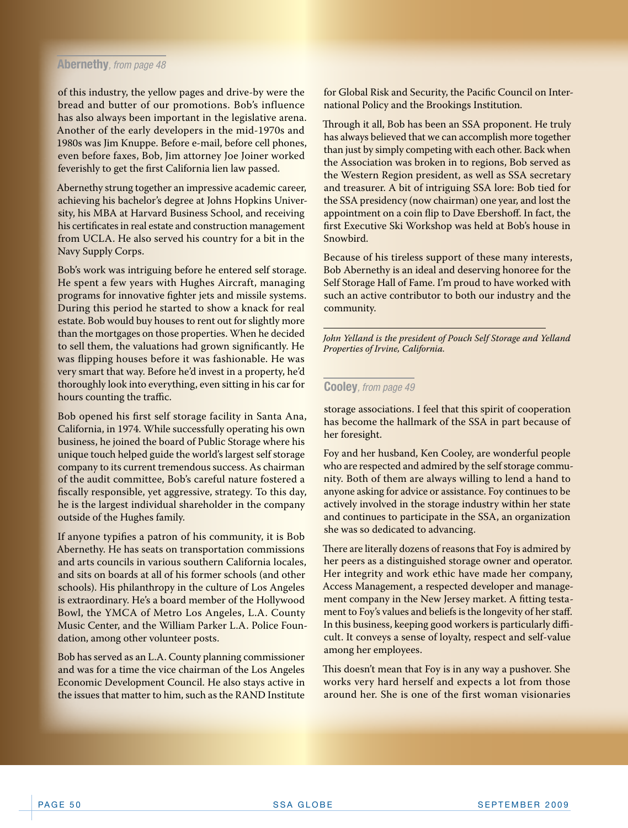#### **Abernethy***, from page 48*

of this industry, the yellow pages and drive-by were the bread and butter of our promotions. Bob's influence has also always been important in the legislative arena. Another of the early developers in the mid-1970s and 1980s was Jim Knuppe. Before e-mail, before cell phones, even before faxes, Bob, Jim attorney Joe Joiner worked feverishly to get the first California lien law passed.

Abernethy strung together an impressive academic career, achieving his bachelor's degree at Johns Hopkins University, his MBA at Harvard Business School, and receiving his certificates in real estate and construction management from UCLA. He also served his country for a bit in the Navy Supply Corps.

Bob's work was intriguing before he entered self storage. He spent a few years with Hughes Aircraft, managing programs for innovative fighter jets and missile systems. During this period he started to show a knack for real estate. Bob would buy houses to rent out for slightly more than the mortgages on those properties. When he decided to sell them, the valuations had grown significantly. He was flipping houses before it was fashionable. He was very smart that way. Before he'd invest in a property, he'd thoroughly look into everything, even sitting in his car for hours counting the traffic.

Bob opened his first self storage facility in Santa Ana, California, in 1974. While successfully operating his own business, he joined the board of Public Storage where his unique touch helped guide the world's largest self storage company to its current tremendous success. As chairman of the audit committee, Bob's careful nature fostered a fiscally responsible, yet aggressive, strategy. To this day, he is the largest individual shareholder in the company outside of the Hughes family.

If anyone typifies a patron of his community, it is Bob Abernethy. He has seats on transportation commissions and arts councils in various southern California locales, and sits on boards at all of his former schools (and other schools). His philanthropy in the culture of Los Angeles is extraordinary. He's a board member of the Hollywood Bowl, the YMCA of Metro Los Angeles, L.A. County Music Center, and the William Parker L.A. Police Foundation, among other volunteer posts.

Bob has served as an L.A. County planning commissioner and was for a time the vice chairman of the Los Angeles Economic Development Council. He also stays active in the issues that matter to him, such as the RAND Institute

for Global Risk and Security, the Pacific Council on International Policy and the Brookings Institution.

Through it all, Bob has been an SSA proponent. He truly has always believed that we can accomplish more together than just by simply competing with each other. Back when the Association was broken in to regions, Bob served as the Western Region president, as well as SSA secretary and treasurer. A bit of intriguing SSA lore: Bob tied for the SSA presidency (now chairman) one year, and lost the appointment on a coin flip to Dave Ebershoff. In fact, the first Executive Ski Workshop was held at Bob's house in Snowbird.

Because of his tireless support of these many interests, Bob Abernethy is an ideal and deserving honoree for the Self Storage Hall of Fame. I'm proud to have worked with such an active contributor to both our industry and the community.

*John Yelland is the president of Pouch Self Storage and Yelland Properties of Irvine, California.*

#### **Cooley***, from page 49*

storage associations. I feel that this spirit of cooperation has become the hallmark of the SSA in part because of her foresight.

Foy and her husband, Ken Cooley, are wonderful people who are respected and admired by the self storage community. Both of them are always willing to lend a hand to anyone asking for advice or assistance. Foy continues to be actively involved in the storage industry within her state and continues to participate in the SSA, an organization she was so dedicated to advancing.

There are literally dozens of reasons that Foy is admired by her peers as a distinguished storage owner and operator. Her integrity and work ethic have made her company, Access Management, a respected developer and management company in the New Jersey market. A fitting testament to Foy's values and beliefs is the longevity of her staff. In this business, keeping good workers is particularly difficult. It conveys a sense of loyalty, respect and self-value among her employees.

This doesn't mean that Foy is in any way a pushover. She works very hard herself and expects a lot from those around her. She is one of the first woman visionaries